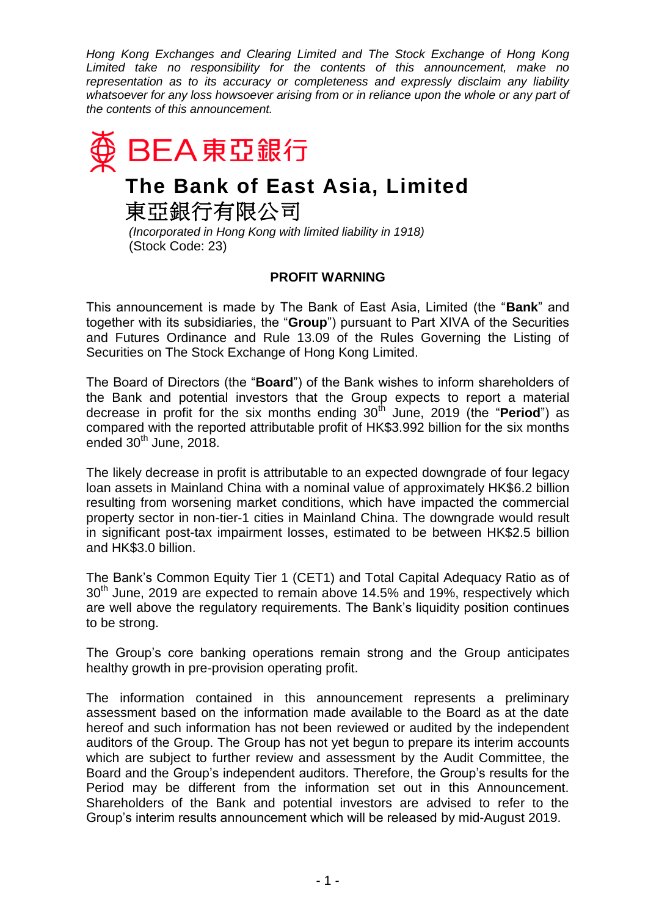*Hong Kong Exchanges and Clearing Limited and The Stock Exchange of Hong Kong Limited take no responsibility for the contents of this announcement, make no representation as to its accuracy or completeness and expressly disclaim any liability whatsoever for any loss howsoever arising from or in reliance upon the whole or any part of the contents of this announcement.*



**The Bank of East Asia, Limited**

東亞銀行有限公司

*(Incorporated in Hong Kong with limited liability in 1918)* (Stock Code: 23)

## **PROFIT WARNING**

This announcement is made by The Bank of East Asia, Limited (the "**Bank**" and together with its subsidiaries, the "**Group**") pursuant to Part XIVA of the Securities and Futures Ordinance and Rule 13.09 of the Rules Governing the Listing of Securities on The Stock Exchange of Hong Kong Limited.

The Board of Directors (the "**Board**") of the Bank wishes to inform shareholders of the Bank and potential investors that the Group expects to report a material decrease in profit for the six months ending 30th June, 2019 (the "**Period**") as compared with the reported attributable profit of HK\$3.992 billion for the six months ended  $30<sup>th</sup>$  June, 2018.

The likely decrease in profit is attributable to an expected downgrade of four legacy loan assets in Mainland China with a nominal value of approximately HK\$6.2 billion resulting from worsening market conditions, which have impacted the commercial property sector in non-tier-1 cities in Mainland China. The downgrade would result in significant post-tax impairment losses, estimated to be between HK\$2.5 billion and HK\$3.0 billion.

The Bank's Common Equity Tier 1 (CET1) and Total Capital Adequacy Ratio as of  $30<sup>th</sup>$  June, 2019 are expected to remain above 14.5% and 19%, respectively which are well above the regulatory requirements. The Bank's liquidity position continues to be strong.

The Group's core banking operations remain strong and the Group anticipates healthy growth in pre-provision operating profit.

The information contained in this announcement represents a preliminary assessment based on the information made available to the Board as at the date hereof and such information has not been reviewed or audited by the independent auditors of the Group. The Group has not yet begun to prepare its interim accounts which are subject to further review and assessment by the Audit Committee, the Board and the Group's independent auditors. Therefore, the Group's results for the Period may be different from the information set out in this Announcement. Shareholders of the Bank and potential investors are advised to refer to the Group's interim results announcement which will be released by mid-August 2019.